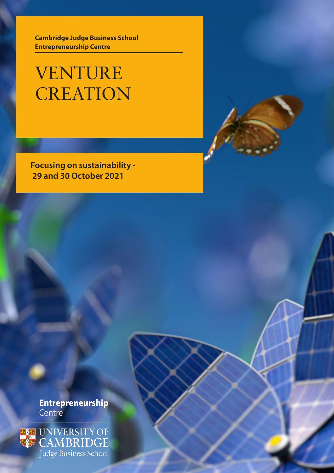**Cambridge Judge Business School Entrepreneurship Centre**

VENTURE **CREATION** 

**Focusing on sustainability - 29 and 30 October 2021**

**Entrepreneurship** Centre